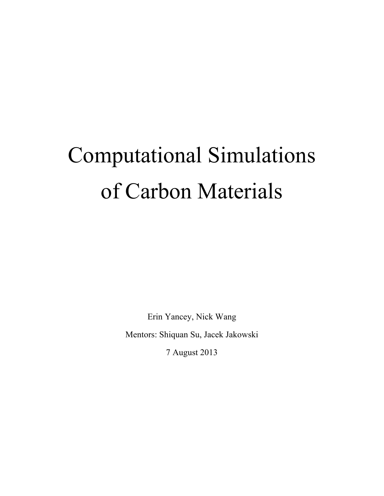# Computational Simulations of Carbon Materials

Erin Yancey, Nick Wang Mentors: Shiquan Su, Jacek Jakowski

7 August 2013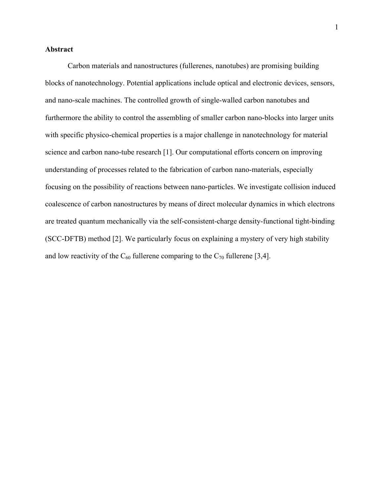### **Abstract**

Carbon materials and nanostructures (fullerenes, nanotubes) are promising building blocks of nanotechnology. Potential applications include optical and electronic devices, sensors, and nano-scale machines. The controlled growth of single-walled carbon nanotubes and furthermore the ability to control the assembling of smaller carbon nano-blocks into larger units with specific physico-chemical properties is a major challenge in nanotechnology for material science and carbon nano-tube research [1]. Our computational efforts concern on improving understanding of processes related to the fabrication of carbon nano-materials, especially focusing on the possibility of reactions between nano-particles. We investigate collision induced coalescence of carbon nanostructures by means of direct molecular dynamics in which electrons are treated quantum mechanically via the self-consistent-charge density-functional tight-binding (SCC-DFTB) method [2]. We particularly focus on explaining a mystery of very high stability and low reactivity of the  $C_{60}$  fullerene comparing to the  $C_{70}$  fullerene [3,4].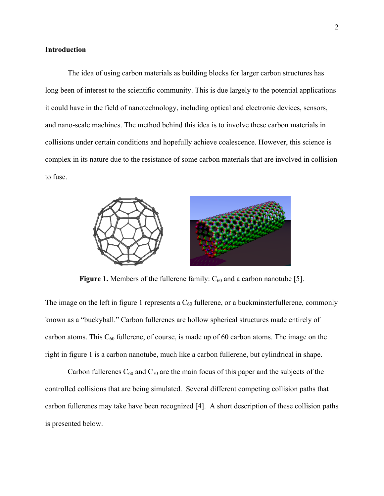#### **Introduction**

The idea of using carbon materials as building blocks for larger carbon structures has long been of interest to the scientific community. This is due largely to the potential applications it could have in the field of nanotechnology, including optical and electronic devices, sensors, and nano-scale machines. The method behind this idea is to involve these carbon materials in collisions under certain conditions and hopefully achieve coalescence. However, this science is complex in its nature due to the resistance of some carbon materials that are involved in collision to fuse.



**Figure 1.** Members of the fullerene family:  $C_{60}$  and a carbon nanotube [5].

The image on the left in figure 1 represents a  $C_{60}$  fullerene, or a buckminsterfullerene, commonly known as a "buckyball." Carbon fullerenes are hollow spherical structures made entirely of carbon atoms. This  $C_{60}$  fullerene, of course, is made up of 60 carbon atoms. The image on the right in figure 1 is a carbon nanotube, much like a carbon fullerene, but cylindrical in shape.

Carbon fullerenes  $C_{60}$  and  $C_{70}$  are the main focus of this paper and the subjects of the controlled collisions that are being simulated. Several different competing collision paths that carbon fullerenes may take have been recognized [4]. A short description of these collision paths is presented below.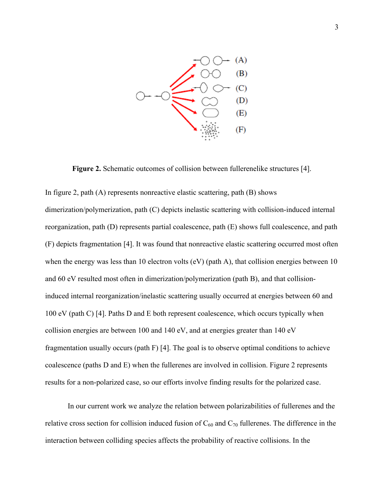

**Figure 2.** Schematic outcomes of collision between fullerenelike structures [4].

In figure 2, path (A) represents nonreactive elastic scattering, path (B) shows dimerization/polymerization, path (C) depicts inelastic scattering with collision-induced internal reorganization, path (D) represents partial coalescence, path (E) shows full coalescence, and path (F) depicts fragmentation [4]. It was found that nonreactive elastic scattering occurred most often when the energy was less than 10 electron volts (eV) (path A), that collision energies between 10 and 60 eV resulted most often in dimerization/polymerization (path B), and that collisioninduced internal reorganization/inelastic scattering usually occurred at energies between 60 and 100 eV (path C) [4]. Paths D and E both represent coalescence, which occurs typically when collision energies are between 100 and 140 eV, and at energies greater than 140 eV fragmentation usually occurs (path F) [4]. The goal is to observe optimal conditions to achieve coalescence (paths D and E) when the fullerenes are involved in collision. Figure 2 represents results for a non-polarized case, so our efforts involve finding results for the polarized case.

In our current work we analyze the relation between polarizabilities of fullerenes and the relative cross section for collision induced fusion of  $C_{60}$  and  $C_{70}$  fullerenes. The difference in the interaction between colliding species affects the probability of reactive collisions. In the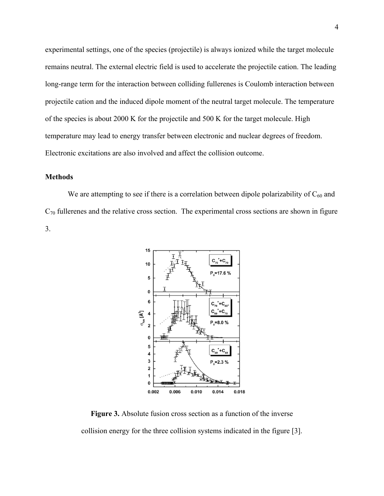experimental settings, one of the species (projectile) is always ionized while the target molecule remains neutral. The external electric field is used to accelerate the projectile cation. The leading long-range term for the interaction between colliding fullerenes is Coulomb interaction between projectile cation and the induced dipole moment of the neutral target molecule. The temperature of the species is about 2000 K for the projectile and 500 K for the target molecule. High temperature may lead to energy transfer between electronic and nuclear degrees of freedom. Electronic excitations are also involved and affect the collision outcome.

### **Methods**

We are attempting to see if there is a correlation between dipole polarizability of  $C_{60}$  and  $C_{70}$  fullerenes and the relative cross section. The experimental cross sections are shown in figure 3.



**Figure 3.** Absolute fusion cross section as a function of the inverse collision energy for the three collision systems indicated in the figure [3].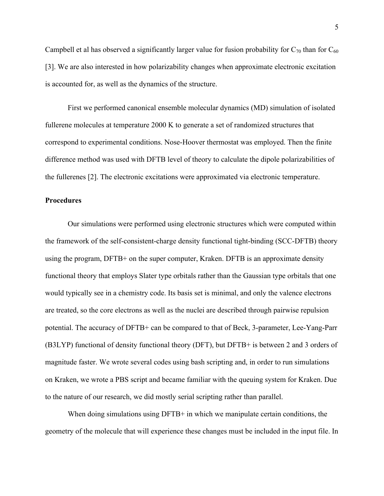Campbell et al has observed a significantly larger value for fusion probability for  $C_{70}$  than for  $C_{60}$ [3]. We are also interested in how polarizability changes when approximate electronic excitation is accounted for, as well as the dynamics of the structure.

First we performed canonical ensemble molecular dynamics (MD) simulation of isolated fullerene molecules at temperature 2000 K to generate a set of randomized structures that correspond to experimental conditions. Nose-Hoover thermostat was employed. Then the finite difference method was used with DFTB level of theory to calculate the dipole polarizabilities of the fullerenes [2]. The electronic excitations were approximated via electronic temperature.

#### **Procedures**

Our simulations were performed using electronic structures which were computed within the framework of the self-consistent-charge density functional tight-binding (SCC-DFTB) theory using the program, DFTB+ on the super computer, Kraken. DFTB is an approximate density functional theory that employs Slater type orbitals rather than the Gaussian type orbitals that one would typically see in a chemistry code. Its basis set is minimal, and only the valence electrons are treated, so the core electrons as well as the nuclei are described through pairwise repulsion potential. The accuracy of DFTB+ can be compared to that of Beck, 3-parameter, Lee-Yang-Parr (B3LYP) functional of density functional theory (DFT), but DFTB+ is between 2 and 3 orders of magnitude faster. We wrote several codes using bash scripting and, in order to run simulations on Kraken, we wrote a PBS script and became familiar with the queuing system for Kraken. Due to the nature of our research, we did mostly serial scripting rather than parallel.

When doing simulations using DFTB+ in which we manipulate certain conditions, the geometry of the molecule that will experience these changes must be included in the input file. In

5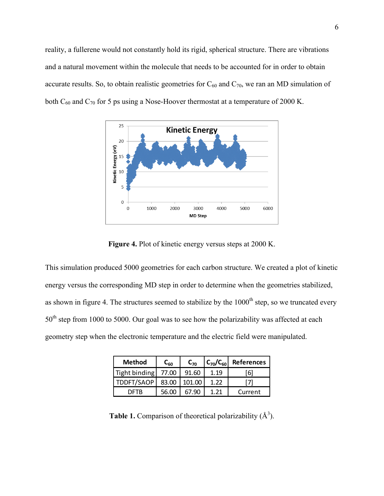reality, a fullerene would not constantly hold its rigid, spherical structure. There are vibrations and a natural movement within the molecule that needs to be accounted for in order to obtain accurate results. So, to obtain realistic geometries for  $C_{60}$  and  $C_{70}$ , we ran an MD simulation of both C<sub>60</sub> and C<sub>70</sub> for 5 ps using a Nose-Hoover thermostat at a temperature of 2000 K.



**Figure 4.** Plot of kinetic energy versus steps at 2000 K.

This simulation produced 5000 geometries for each carbon structure. We created a plot of kinetic energy versus the corresponding MD step in order to determine when the geometries stabilized, as shown in figure 4. The structures seemed to stabilize by the 1000<sup>th</sup> step, so we truncated every 50<sup>th</sup> step from 1000 to 5000. Our goal was to see how the polarizability was affected at each geometry step when the electronic temperature and the electric field were manipulated.

| <b>Method</b>       | $C_{60}$ | $C_{70}$ | $ C_{70}/C_{60} $ | <b>References</b> |  |
|---------------------|----------|----------|-------------------|-------------------|--|
| Tight binding 77.00 |          | 91.60    | 1.19              | -61               |  |
| TDDFT/SAOP          | 83.00    | 101.00   | 1.22              |                   |  |
| DETR                | 56.00    |          |                   | Current           |  |

**Table 1.** Comparison of theoretical polarizability  $(A^3)$ .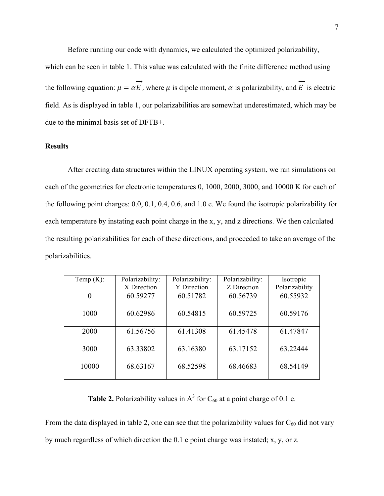Before running our code with dynamics, we calculated the optimized polarizability,

which can be seen in table 1. This value was calculated with the finite difference method using the following equation:  $\mu = \alpha \vec{E}$ , where  $\mu$  is dipole moment,  $\alpha$  is polarizability, and  $\vec{E}$  is electric field. As is displayed in table 1, our polarizabilities are somewhat underestimated, which may be due to the minimal basis set of DFTB+.

## **Results**

After creating data structures within the LINUX operating system, we ran simulations on each of the geometries for electronic temperatures 0, 1000, 2000, 3000, and 10000 K for each of the following point charges: 0.0, 0.1, 0.4, 0.6, and 1.0 e. We found the isotropic polarizability for each temperature by instating each point charge in the x, y, and z directions. We then calculated the resulting polarizabilities for each of these directions, and proceeded to take an average of the polarizabilities.

| Temp $(K)$ : | Polarizability: | Polarizability: | Polarizability: | Isotropic      |  |
|--------------|-----------------|-----------------|-----------------|----------------|--|
|              | X Direction     | Y Direction     | Z Direction     | Polarizability |  |
| $\theta$     | 60.59277        | 60.51782        | 60.56739        | 60.55932       |  |
|              |                 |                 |                 |                |  |
| 1000         | 60.62986        | 60.54815        | 60.59725        | 60.59176       |  |
|              |                 |                 |                 |                |  |
| 2000         | 61.56756        | 61.41308        | 61.45478        | 61.47847       |  |
|              |                 |                 |                 |                |  |
| 3000         | 63.33802        | 63.16380        | 63.17152        | 63.22444       |  |
|              |                 |                 |                 |                |  |
| 10000        | 68.63167        | 68.52598        | 68.46683        | 68.54149       |  |
|              |                 |                 |                 |                |  |

**Table 2.** Polarizability values in  $A^3$  for  $C_{60}$  at a point charge of 0.1 e.

From the data displayed in table 2, one can see that the polarizability values for  $C_{60}$  did not vary by much regardless of which direction the 0.1 e point charge was instated; x, y, or z.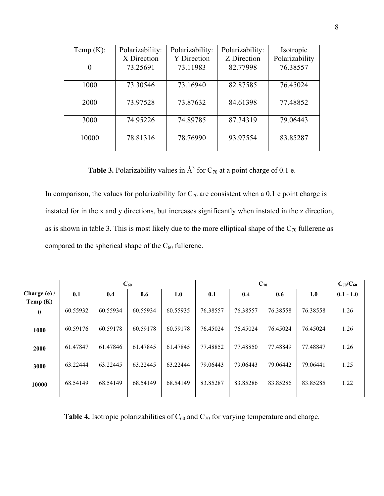| Temp $(K)$ : | Polarizability: | Polarizability: | Polarizability: | Isotropic      |  |
|--------------|-----------------|-----------------|-----------------|----------------|--|
|              | X Direction     | Y Direction     | Z Direction     | Polarizability |  |
| $\theta$     | 73.25691        | 73.11983        | 82.77998        | 76.38557       |  |
|              |                 |                 |                 |                |  |
| 1000         | 73.30546        | 73.16940        | 82.87585        | 76.45024       |  |
|              |                 |                 |                 |                |  |
| 2000         | 73.97528        | 73.87632        | 84.61398        | 77.48852       |  |
|              |                 |                 |                 |                |  |
| 3000         | 74.95226        | 74.89785        | 87.34319        | 79.06443       |  |
|              |                 |                 |                 |                |  |
| 10000        | 78.81316        | 78.76990        | 93.97554        | 83.85287       |  |
|              |                 |                 |                 |                |  |

**Table 3.** Polarizability values in  $A^3$  for  $C_{70}$  at a point charge of 0.1 e.

In comparison, the values for polarizability for  $C_{70}$  are consistent when a 0.1 e point charge is instated for in the x and y directions, but increases significantly when instated in the z direction, as is shown in table 3. This is most likely due to the more elliptical shape of the  $C_{70}$  fullerene as compared to the spherical shape of the  $C_{60}$  fullerene.

|                | $\bf{C}_{60}$ |          |          |          | $C_{70}$ |          |          |          | $C_{70}/C_{60}$ |
|----------------|---------------|----------|----------|----------|----------|----------|----------|----------|-----------------|
| Charge $(e)$ / | 0.1           | 0.4      | 0.6      | 1.0      | 0.1      | 0.4      | 0.6      | 1.0      | $0.1 - 1.0$     |
| Temp $(K)$     |               |          |          |          |          |          |          |          |                 |
| $\mathbf{0}$   | 60.55932      | 60.55934 | 60.55934 | 60.55935 | 76.38557 | 76.38557 | 76.38558 | 76.38558 | 1.26            |
| 1000           | 60.59176      | 60.59178 | 60.59178 | 60.59178 | 76.45024 | 76.45024 | 76.45024 | 76.45024 | 1.26            |
| 2000           | 61.47847      | 61.47846 | 61.47845 | 61.47845 | 77.48852 | 77.48850 | 77.48849 | 77.48847 | 1.26            |
| 3000           | 63.22444      | 63.22445 | 63.22445 | 63.22444 | 79.06443 | 79.06443 | 79.06442 | 79.06441 | 1.25            |
| 10000          | 68.54149      | 68.54149 | 68.54149 | 68.54149 | 83.85287 | 83.85286 | 83.85286 | 83.85285 | 1.22            |

**Table 4.** Isotropic polarizabilities of  $C_{60}$  and  $C_{70}$  for varying temperature and charge.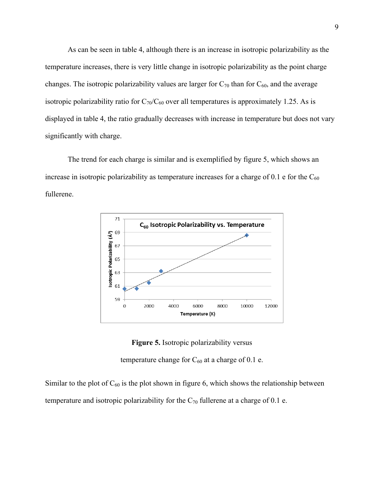As can be seen in table 4, although there is an increase in isotropic polarizability as the temperature increases, there is very little change in isotropic polarizability as the point charge changes. The isotropic polarizability values are larger for  $C_{70}$  than for  $C_{60}$ , and the average isotropic polarizability ratio for  $C_{70}/C_{60}$  over all temperatures is approximately 1.25. As is displayed in table 4, the ratio gradually decreases with increase in temperature but does not vary significantly with charge.

The trend for each charge is similar and is exemplified by figure 5, which shows an increase in isotropic polarizability as temperature increases for a charge of  $0.1$  e for the  $C_{60}$ fullerene.



**Figure 5.** Isotropic polarizability versus

temperature change for  $C_{60}$  at a charge of 0.1 e.

Similar to the plot of  $C_{60}$  is the plot shown in figure 6, which shows the relationship between temperature and isotropic polarizability for the  $C_{70}$  fullerene at a charge of 0.1 e.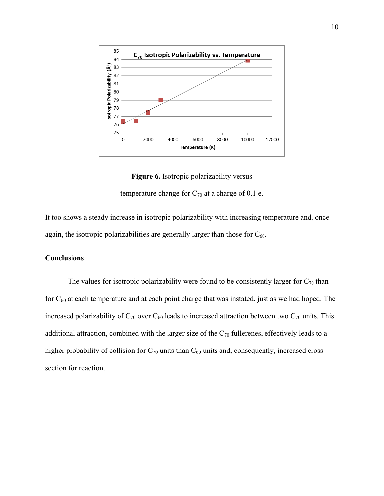

**Figure 6.** Isotropic polarizability versus

temperature change for  $C_{70}$  at a charge of 0.1 e.

It too shows a steady increase in isotropic polarizability with increasing temperature and, once again, the isotropic polarizabilities are generally larger than those for  $C_{60}$ .

### **Conclusions**

The values for isotropic polarizability were found to be consistently larger for  $C_{70}$  than for  $C_{60}$  at each temperature and at each point charge that was instated, just as we had hoped. The increased polarizability of  $C_{70}$  over  $C_{60}$  leads to increased attraction between two  $C_{70}$  units. This additional attraction, combined with the larger size of the  $C_{70}$  fullerenes, effectively leads to a higher probability of collision for  $C_{70}$  units than  $C_{60}$  units and, consequently, increased cross section for reaction.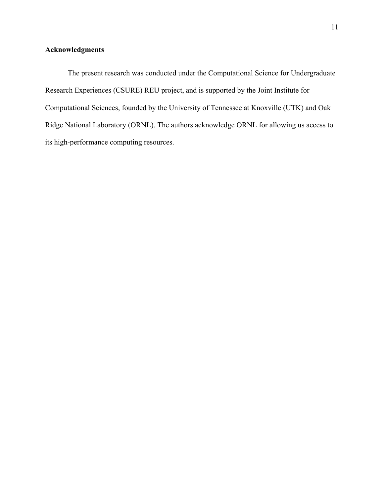# **Acknowledgments**

The present research was conducted under the Computational Science for Undergraduate Research Experiences (CSURE) REU project, and is supported by the Joint Institute for Computational Sciences, founded by the University of Tennessee at Knoxville (UTK) and Oak Ridge National Laboratory (ORNL). The authors acknowledge ORNL for allowing us access to its high-performance computing resources.